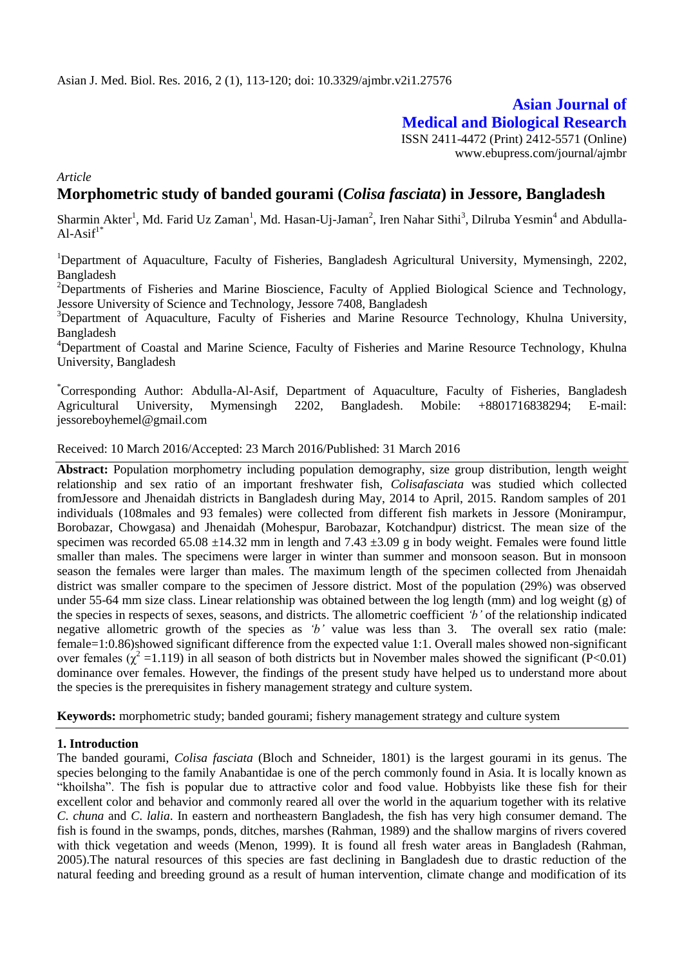# **Asian Journal of Medical and Biological Research** ISSN 2411-4472 (Print) 2412-5571 (Online)

www.ebupress.com/journal/ajmbr

*Article*

# **Morphometric study of banded gourami (***Colisa fasciata***) in Jessore, Bangladesh**

Sharmin Akter<sup>1</sup>, Md. Farid Uz Zaman<sup>1</sup>, Md. Hasan-Uj-Jaman<sup>2</sup>, Iren Nahar Sithi<sup>3</sup>, Dilruba Yesmin<sup>4</sup> and Abdulla- $Al-Asif<sup>1*</sup>$ 

<sup>1</sup>Department of Aquaculture, Faculty of Fisheries, Bangladesh Agricultural University, Mymensingh, 2202, Bangladesh

<sup>2</sup>Departments of Fisheries and Marine Bioscience, Faculty of Applied Biological Science and Technology, Jessore University of Science and Technology, Jessore 7408, Bangladesh

<sup>3</sup>Department of Aquaculture, Faculty of Fisheries and Marine Resource Technology, Khulna University, Bangladesh

<sup>4</sup>Department of Coastal and Marine Science, Faculty of Fisheries and Marine Resource Technology, Khulna University, Bangladesh

\*Corresponding Author: Abdulla-Al-Asif, Department of Aquaculture, Faculty of Fisheries, Bangladesh Agricultural University, Mymensingh 2202, Bangladesh. Mobile: +8801716838294; E-mail: jessoreboyhemel@gmail.com

Received: 10 March 2016/Accepted: 23 March 2016/Published: 31 March 2016

**Abstract:** Population morphometry including population demography, size group distribution, length weight relationship and sex ratio of an important freshwater fish, *Colisafasciata* was studied which collected fromJessore and Jhenaidah districts in Bangladesh during May, 2014 to April, 2015. Random samples of 201 individuals (108males and 93 females) were collected from different fish markets in Jessore (Monirampur, Borobazar, Chowgasa) and Jhenaidah (Mohespur, Barobazar, Kotchandpur) districst. The mean size of the specimen was recorded 65.08  $\pm$ 14.32 mm in length and 7.43  $\pm$ 3.09 g in body weight. Females were found little smaller than males. The specimens were larger in winter than summer and monsoon season. But in monsoon season the females were larger than males. The maximum length of the specimen collected from Jhenaidah district was smaller compare to the specimen of Jessore district. Most of the population (29%) was observed under 55-64 mm size class. Linear relationship was obtained between the log length (mm) and log weight (g) of the species in respects of sexes, seasons, and districts. The allometric coefficient *'b'* of the relationship indicated negative allometric growth of the species as *'b'* value was less than 3. The overall sex ratio (male: female=1:0.86)showed significant difference from the expected value 1:1. Overall males showed non-significant over females ( $\chi^2$  =1.119) in all season of both districts but in November males showed the significant (P<0.01) dominance over females. However, the findings of the present study have helped us to understand more about the species is the prerequisites in fishery management strategy and culture system.

**Keywords:** morphometric study; banded gourami; fishery management strategy and culture system

# **1. Introduction**

The banded gourami, *Colisa fasciata* (Bloch and Schneider, 1801) is the largest gourami in its genus. The species belonging to the family Anabantidae is one of the perch commonly found in Asia. It is locally known as "khoilsha". The fish is popular due to attractive color and food value. Hobbyists like these fish for their excellent color and behavior and commonly reared all over the world in the aquarium together with its relative *C*. *chuna* and *C*. *lalia*. In eastern and northeastern Bangladesh, the fish has very high consumer demand. The fish is found in the swamps, ponds, ditches, marshes (Rahman, 1989) and the shallow margins of rivers covered with thick vegetation and weeds (Menon, 1999). It is found all fresh water areas in Bangladesh (Rahman, 2005).The natural resources of this species are fast declining in Bangladesh due to drastic reduction of the natural feeding and breeding ground as a result of human intervention, climate change and modification of its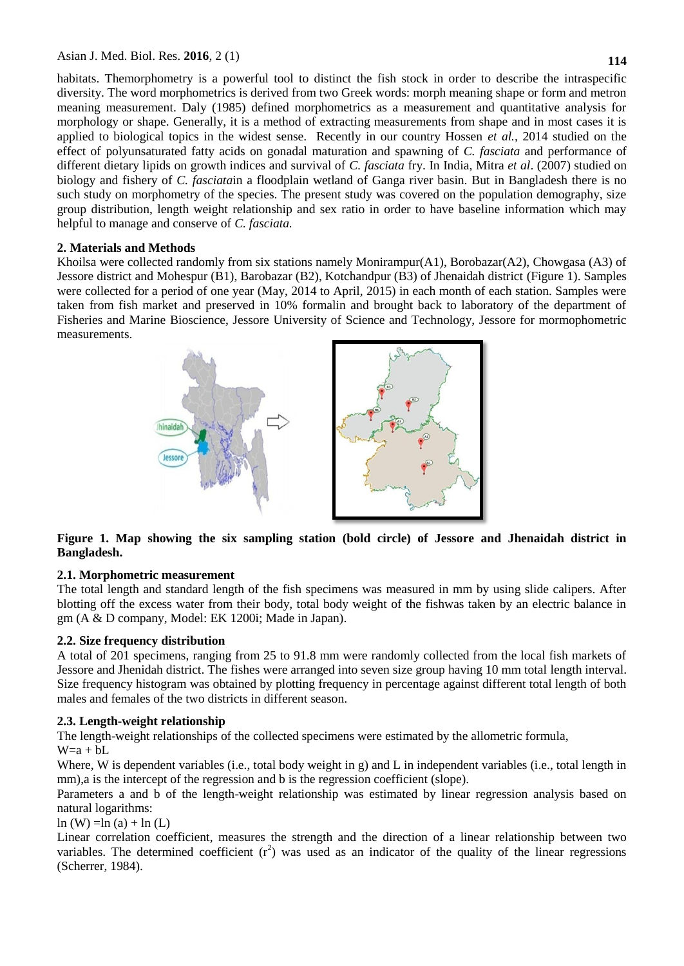Asian J. Med. Biol. Res. **2016**, 2 (1)

habitats. Themorphometry is a powerful tool to distinct the fish stock in order to describe the intraspecific diversity. The word morphometrics is derived from two Greek words: morph meaning shape or form and metron meaning measurement. Daly (1985) defined morphometrics as a measurement and quantitative analysis for morphology or shape. Generally, it is a method of extracting measurements from shape and in most cases it is applied to biological topics in the widest sense. Recently in our country Hossen *et al.,* 2014 studied on the effect of polyunsaturated fatty acids on gonadal maturation and spawning of *C. fasciata* and performance of different dietary lipids on growth indices and survival of *C. fasciata* fry. In India, Mitra *et al*. (2007) studied on biology and fishery of *C. fasciata*in a floodplain wetland of Ganga river basin. But in Bangladesh there is no such study on morphometry of the species. The present study was covered on the population demography, size group distribution, length weight relationship and sex ratio in order to have baseline information which may helpful to manage and conserve of *C. fasciata.*

# **2. Materials and Methods**

Khoilsa were collected randomly from six stations namely Monirampur(A1), Borobazar(A2), Chowgasa (A3) of Jessore district and Mohespur (B1), Barobazar (B2), Kotchandpur (B3) of Jhenaidah district (Figure 1). Samples were collected for a period of one year (May, 2014 to April, 2015) in each month of each station. Samples were taken from fish market and preserved in 10% formalin and brought back to laboratory of the department of Fisheries and Marine Bioscience, Jessore University of Science and Technology, Jessore for mormophometric measurements.



**Figure 1. Map showing the six sampling station (bold circle) of Jessore and Jhenaidah district in Bangladesh.**

# **2.1. Morphometric measurement**

The total length and standard length of the fish specimens was measured in mm by using slide calipers. After blotting off the excess water from their body, total body weight of the fishwas taken by an electric balance in gm (A & D company, Model: EK 1200i; Made in Japan).

# **2.2. Size frequency distribution**

A total of 201 specimens, ranging from 25 to 91.8 mm were randomly collected from the local fish markets of Jessore and Jhenidah district. The fishes were arranged into seven size group having 10 mm total length interval. Size frequency histogram was obtained by plotting frequency in percentage against different total length of both males and females of the two districts in different season.

# **2.3. Length-weight relationship**

The length-weight relationships of the collected specimens were estimated by the allometric formula,

# $W=a + bL$

Where, W is dependent variables (i.e., total body weight in g) and L in independent variables (i.e., total length in mm),a is the intercept of the regression and b is the regression coefficient (slope).

Parameters a and b of the length-weight relationship was estimated by linear regression analysis based on natural logarithms:

 $ln (W) = ln (a) + ln (L)$ 

Linear correlation coefficient, measures the strength and the direction of a linear relationship between two variables. The determined coefficient  $(r^2)$  was used as an indicator of the quality of the linear regressions (Scherrer, 1984).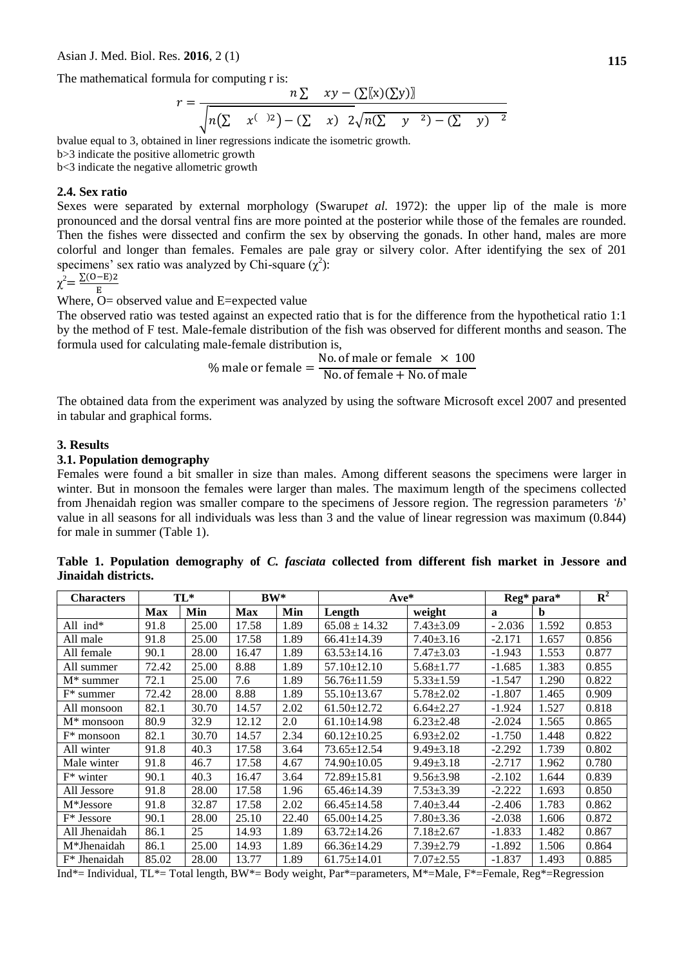The mathematical formula for computing r is:

$$
r = \frac{n \sum xy - (\sum[x)(\sum y)]}{\sqrt{n(\sum x^{(-)2}) - (\sum x)^2} \sqrt{n(\sum y^2) - (\sum y)^2}}
$$

bvalue equal to 3, obtained in liner regressions indicate the isometric growth. b>3 indicate the positive allometric growth b<3 indicate the negative allometric growth

#### **2.4. Sex ratio**

Sexes were separated by external morphology (Swarupet al. 1972): the upper lip of the male is more pronounced and the dorsal ventral fins are more pointed at the posterior while those of the females are rounded. Then the fishes were dissected and confirm the sex by observing the gonads. In other hand, males are more colorful and longer than females. Females are pale gray or silvery color. After identifying the sex of 201 specimens' sex ratio was analyzed by Chi-square  $(\chi^2)$ :

$$
\chi^2 = \frac{\Sigma (O - E) 2}{E}
$$

 $\chi$  E<br>Where, O= observed value and E=expected value

The observed ratio was tested against an expected ratio that is for the difference from the hypothetical ratio 1:1 by the method of F test. Male-female distribution of the fish was observed for different months and season. The formula used for calculating male-female distribution is,

> $\frac{0}{0}$ N N

The obtained data from the experiment was analyzed by using the software Microsoft excel 2007 and presented in tabular and graphical forms.

### **3. Results**

#### **3.1. Population demography**

Females were found a bit smaller in size than males. Among different seasons the specimens were larger in winter. But in monsoon the females were larger than males. The maximum length of the specimens collected from Jhenaidah region was smaller compare to the specimens of Jessore region. The regression parameters *'b*" value in all seasons for all individuals was less than 3 and the value of linear regression was maximum (0.844) for male in summer (Table 1).

| <b>Characters</b>      | $TL^*$     |       | $BW^*$     |       | $Ave^*$           | $\text{Re}g^*$ para* |          | ${\bf R}^2$ |       |
|------------------------|------------|-------|------------|-------|-------------------|----------------------|----------|-------------|-------|
|                        | <b>Max</b> | Min   | <b>Max</b> | Min   | Length            | weight               | a        | b           |       |
| All ind*               | 91.8       | 25.00 | 17.58      | 1.89  | $65.08 \pm 14.32$ | $7.43 \pm 3.09$      | $-2.036$ | 1.592       | 0.853 |
| All male               | 91.8       | 25.00 | 17.58      | 1.89  | $66.41 \pm 14.39$ | $7.40 \pm 3.16$      | $-2.171$ | 1.657       | 0.856 |
| All female             | 90.1       | 28.00 | 16.47      | 1.89  | $63.53 \pm 14.16$ | $7.47 \pm 3.03$      | $-1.943$ | 1.553       | 0.877 |
| All summer             | 72.42      | 25.00 | 8.88       | 1.89  | $57.10 \pm 12.10$ | $5.68 \pm 1.77$      | $-1.685$ | 1.383       | 0.855 |
| $M^*$ summer           | 72.1       | 25.00 | 7.6        | 1.89  | $56.76 \pm 11.59$ | $5.33 \pm 1.59$      | $-1.547$ | 1.290       | 0.822 |
| $F^*$ summer           | 72.42      | 28.00 | 8.88       | 1.89  | $55.10 \pm 13.67$ | $5.78 \pm 2.02$      | $-1.807$ | 1.465       | 0.909 |
| All monsoon            | 82.1       | 30.70 | 14.57      | 2.02  | $61.50 \pm 12.72$ | $6.64 \pm 2.27$      | $-1.924$ | 1.527       | 0.818 |
| $M^*$ monsoon          | 80.9       | 32.9  | 12.12      | 2.0   | $61.10 \pm 14.98$ | $6.23 \pm 2.48$      | $-2.024$ | 1.565       | 0.865 |
| $F^*$ monsoon          | 82.1       | 30.70 | 14.57      | 2.34  | $60.12 \pm 10.25$ | $6.93 \pm 2.02$      | $-1.750$ | 1.448       | 0.822 |
| All winter             | 91.8       | 40.3  | 17.58      | 3.64  | $73.65 \pm 12.54$ | $9.49 \pm 3.18$      | $-2.292$ | 1.739       | 0.802 |
| Male winter            | 91.8       | 46.7  | 17.58      | 4.67  | 74.90±10.05       | $9.49 \pm 3.18$      | $-2.717$ | 1.962       | 0.780 |
| $F^*$ winter           | 90.1       | 40.3  | 16.47      | 3.64  | $72.89 \pm 15.81$ | $9.56 \pm 3.98$      | $-2.102$ | 1.644       | 0.839 |
| All Jessore            | 91.8       | 28.00 | 17.58      | 1.96  | $65.46 \pm 14.39$ | $7.53 \pm 3.39$      | $-2.222$ | 1.693       | 0.850 |
| M <sup>*</sup> Jessore | 91.8       | 32.87 | 17.58      | 2.02  | $66.45 \pm 14.58$ | $7.40 \pm 3.44$      | $-2.406$ | 1.783       | 0.862 |
| F* Jessore             | 90.1       | 28.00 | 25.10      | 22.40 | $65.00 \pm 14.25$ | $7.80 \pm 3.36$      | $-2.038$ | 1.606       | 0.872 |
| All Jhenaidah          | 86.1       | 25    | 14.93      | 1.89  | $63.72 \pm 14.26$ | $7.18 \pm 2.67$      | $-1.833$ | 1.482       | 0.867 |
| M*Jhenaidah            | 86.1       | 25.00 | 14.93      | 1.89  | $66.36 \pm 14.29$ | $7.39 \pm 2.79$      | $-1.892$ | 1.506       | 0.864 |
| $F^*$ Jhenaidah        | 85.02      | 28.00 | 13.77      | 1.89  | $61.75 \pm 14.01$ | $7.07 \pm 2.55$      | $-1.837$ | 1.493       | 0.885 |

**Table 1. Population demography of** *C. fasciata* **collected from different fish market in Jessore and Jinaidah districts.**

Ind\*= Individual, TL\*= Total length, BW\*= Body weight, Par\*=parameters, M\*=Male, F\*=Female, Reg\*=Regression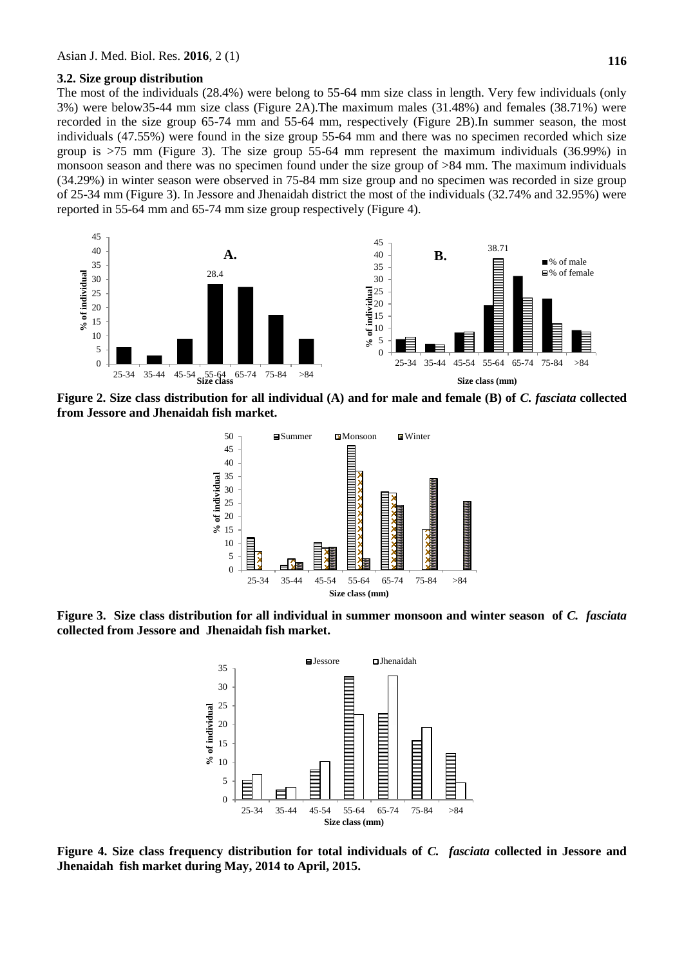#### **3.2. Size group distribution**

The most of the individuals (28.4%) were belong to 55-64 mm size class in length. Very few individuals (only 3%) were below35-44 mm size class (Figure 2A).The maximum males (31.48%) and females (38.71%) were recorded in the size group 65-74 mm and 55-64 mm, respectively (Figure 2B).In summer season, the most individuals (47.55%) were found in the size group 55-64 mm and there was no specimen recorded which size group is  $>75$  mm (Figure 3). The size group 55-64 mm represent the maximum individuals (36.99%) in monsoon season and there was no specimen found under the size group of >84 mm. The maximum individuals (34.29%) in winter season were observed in 75-84 mm size group and no specimen was recorded in size group of 25-34 mm (Figure 3). In Jessore and Jhenaidah district the most of the individuals (32.74% and 32.95%) were reported in 55-64 mm and 65-74 mm size group respectively (Figure 4).



**Figure 2. Size class distribution for all individual (A) and for male and female (B) of** *C. fasciata* **collected from Jessore and Jhenaidah fish market.**



**Figure 3. Size class distribution for all individual in summer monsoon and winter season of** *C. fasciata* **collected from Jessore and Jhenaidah fish market.**



**Figure 4. Size class frequency distribution for total individuals of** *C. fasciata* **collected in Jessore and Jhenaidah fish market during May, 2014 to April, 2015.**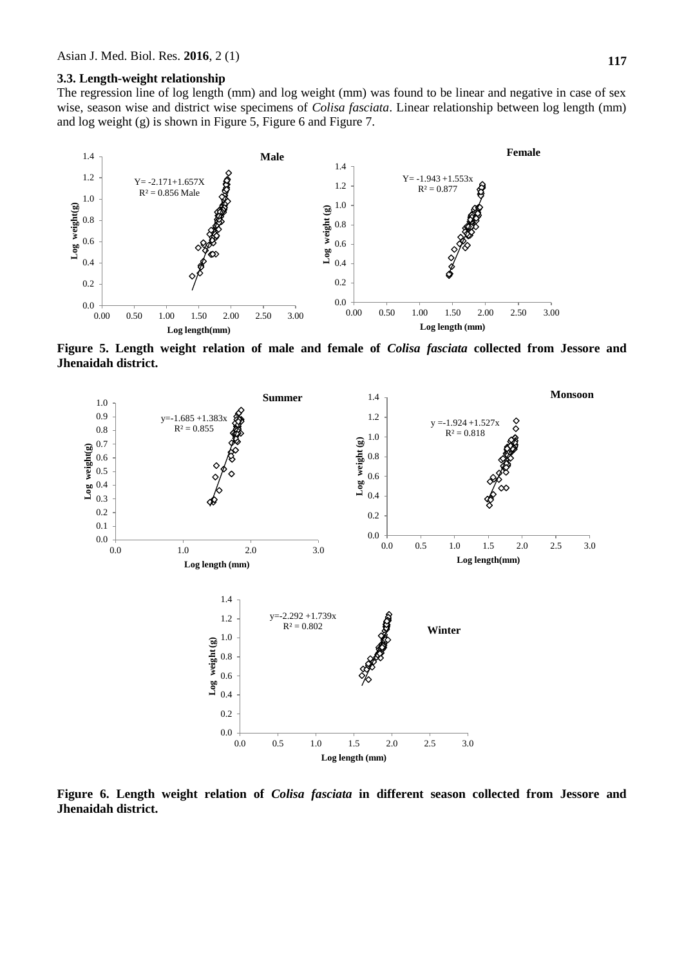**117**

### **3.3. Length-weight relationship**

The regression line of log length (mm) and log weight (mm) was found to be linear and negative in case of sex wise, season wise and district wise specimens of *Colisa fasciata*. Linear relationship between log length (mm) and log weight (g) is shown in Figure 5, Figure 6 and Figure 7.



**Figure 5. Length weight relation of male and female of** *Colisa fasciata* **collected from Jessore and Jhenaidah district.**



**Figure 6. Length weight relation of** *Colisa fasciata* **in different season collected from Jessore and Jhenaidah district.**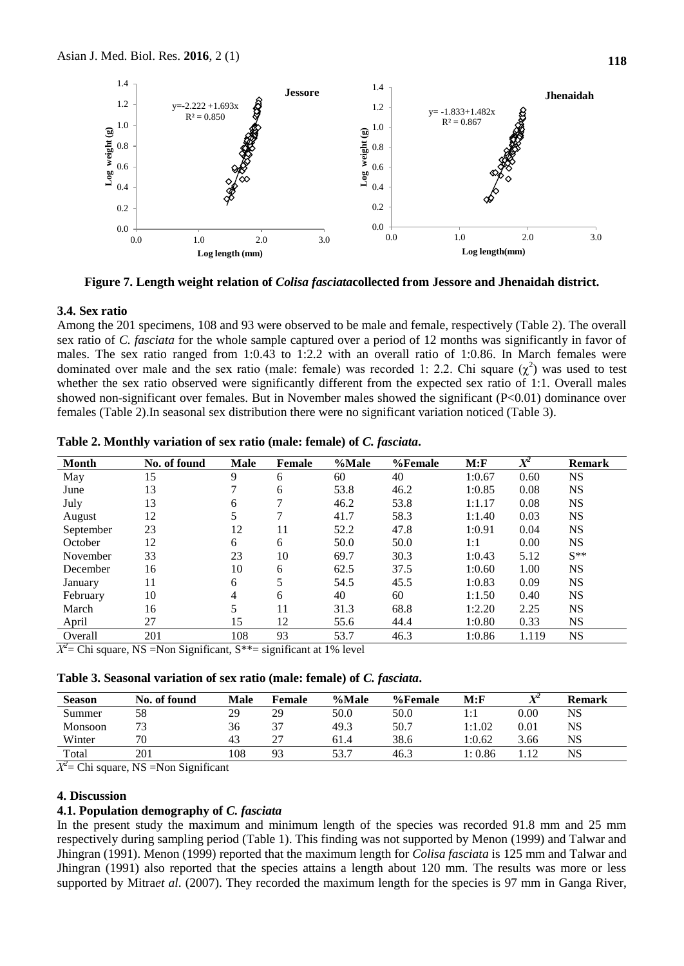

**Figure 7. Length weight relation of** *Colisa fasciata***collected from Jessore and Jhenaidah district.**

#### **3.4. Sex ratio**

Among the 201 specimens, 108 and 93 were observed to be male and female, respectively (Table 2). The overall sex ratio of *C. fasciata* for the whole sample captured over a period of 12 months was significantly in favor of males. The sex ratio ranged from 1:0.43 to 1:2.2 with an overall ratio of 1:0.86. In March females were dominated over male and the sex ratio (male: female) was recorded 1: 2.2. Chi square  $(\chi^2)$  was used to test whether the sex ratio observed were significantly different from the expected sex ratio of 1:1. Overall males showed non-significant over females. But in November males showed the significant (P<0.01) dominance over females (Table 2).In seasonal sex distribution there were no significant variation noticed (Table 3).

| <b>Month</b>                                 | No. of found                               | <b>Male</b> | Female         | %Male                       | %Female | M: F   | $\overline{X^2}$ | <b>Remark</b> |
|----------------------------------------------|--------------------------------------------|-------------|----------------|-----------------------------|---------|--------|------------------|---------------|
| May                                          | 15                                         | 9           | 6              | 60                          | 40      | 1:0.67 | 0.60             | <b>NS</b>     |
| June                                         | 13                                         | 7           | 6              | 53.8                        | 46.2    | 1:0.85 | 0.08             | <b>NS</b>     |
| July                                         | 13                                         | 6           | 7              | 46.2                        | 53.8    | 1:1.17 | 0.08             | <b>NS</b>     |
| August                                       | 12                                         |             | 7              | 41.7                        | 58.3    | 1:1.40 | 0.03             | <b>NS</b>     |
| September                                    | 23                                         | 12          | 11             | 52.2                        | 47.8    | 1:0.91 | 0.04             | <b>NS</b>     |
| October                                      | 12                                         | 6           | 6              | 50.0                        | 50.0    | 1:1    | 0.00             | <b>NS</b>     |
| November                                     | 33                                         | 23          | 10             | 69.7                        | 30.3    | 1:0.43 | 5.12             | $S^{**}$      |
| December                                     | 16                                         | 10          | 6              | 62.5                        | 37.5    | 1:0.60 | 1.00             | <b>NS</b>     |
| January                                      | 11                                         | 6           |                | 54.5                        | 45.5    | 1:0.83 | 0.09             | <b>NS</b>     |
| February                                     | 10                                         | 4           | 6              | 40                          | 60      | 1:1.50 | 0.40             | <b>NS</b>     |
| March                                        | 16                                         |             | 11             | 31.3                        | 68.8    | 1:2.20 | 2.25             | <b>NS</b>     |
| April                                        | 27                                         | 15          | 12             | 55.6                        | 44.4    | 1:0.80 | 0.33             | <b>NS</b>     |
| Overall                                      | 201                                        | 108         | 93             | 53.7                        | 46.3    | 1:0.86 | 1.119            | <b>NS</b>     |
| $\overline{H}$ $\overline{H}$ $\overline{H}$ | $\cdot$ $\sim$<br>$\mathbf{v}$<br>$\sim$ . | $-1.1.1.$   | $\cdot$ $\sim$ | $\sim$ $\sim$ $\sim$ $\sim$ |         |        |                  |               |

**Table 2. Monthly variation of sex ratio (male: female) of** *C. fasciata***.**

 $X^2$  = Chi square, NS = Non Significant, S<sup>\*\*</sup> = significant at 1% level

**Table 3. Seasonal variation of sex ratio (male: female) of** *C. fasciata***.**

| <b>Season</b> | No. of found | Male | Female | %Male | %Female | M: F                | XZ              | <b>Remark</b> |
|---------------|--------------|------|--------|-------|---------|---------------------|-----------------|---------------|
| Summer        | 58           | 29   | 29     | 50.0  | 50.0    | $\vert \cdot \vert$ | $0.00\,$        | NS            |
| Monsoon       |              | 36   | $\sim$ | 49.3  | 50.7    | 1:1.02              | $0.01\,$        | NS            |
| Winter        | 70           | 43   | $\sim$ | 61.4  | 38.6    | 1:0.62              | 3.66            | NS            |
| Total         | 201          | 108  | 93     | 53 7  | 46.3    | l: 0.86             | $\overline{12}$ | NS            |

*Χ 2* = Chi square, NS =Non Significant

### **4. Discussion**

### **4.1. Population demography of** *C. fasciata*

In the present study the maximum and minimum length of the species was recorded 91.8 mm and 25 mm respectively during sampling period (Table 1). This finding was not supported by Menon (1999) and Talwar and Jhingran (1991). Menon (1999) reported that the maximum length for *Colisa fasciata* is 125 mm and Talwar and Jhingran (1991) also reported that the species attains a length about 120 mm. The results was more or less supported by Mitra*et al*. (2007). They recorded the maximum length for the species is 97 mm in Ganga River,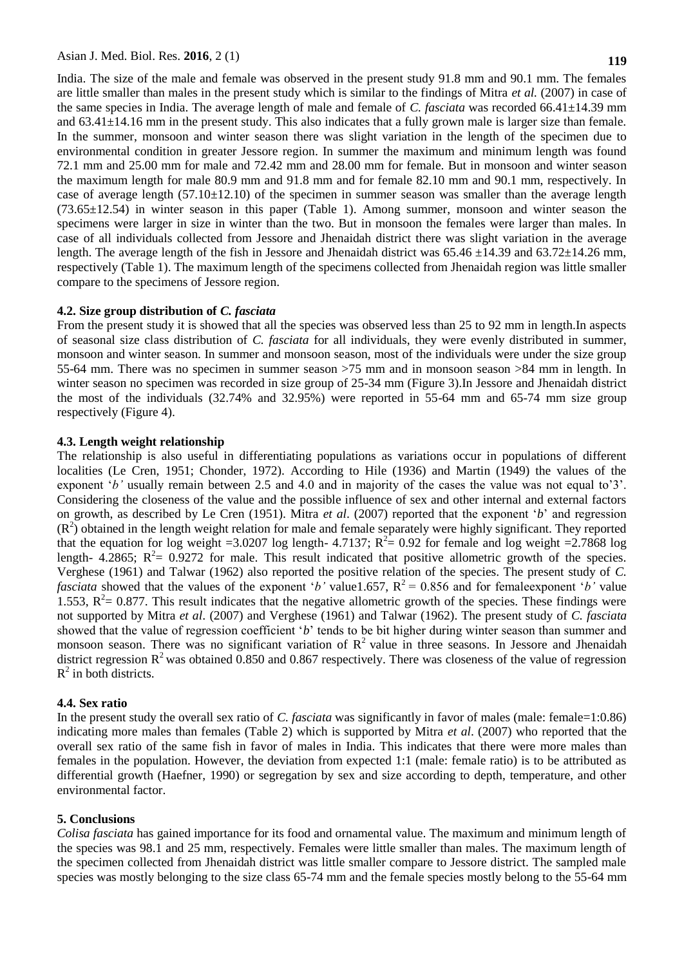India. The size of the male and female was observed in the present study 91.8 mm and 90.1 mm. The females are little smaller than males in the present study which is similar to the findings of Mitra *et al.* (2007) in case of the same species in India. The average length of male and female of *C. fasciata* was recorded 66.41±14.39 mm and 63.41±14.16 mm in the present study. This also indicates that a fully grown male is larger size than female. In the summer, monsoon and winter season there was slight variation in the length of the specimen due to environmental condition in greater Jessore region. In summer the maximum and minimum length was found 72.1 mm and 25.00 mm for male and 72.42 mm and 28.00 mm for female. But in monsoon and winter season the maximum length for male 80.9 mm and 91.8 mm and for female 82.10 mm and 90.1 mm, respectively. In case of average length  $(57.10\pm12.10)$  of the specimen in summer season was smaller than the average length  $(73.65\pm12.54)$  in winter season in this paper (Table 1). Among summer, monsoon and winter season the specimens were larger in size in winter than the two. But in monsoon the females were larger than males. In case of all individuals collected from Jessore and Jhenaidah district there was slight variation in the average length. The average length of the fish in Jessore and Jhenaidah district was  $65.46 \pm 14.39$  and  $63.72 \pm 14.26$  mm, respectively (Table 1). The maximum length of the specimens collected from Jhenaidah region was little smaller compare to the specimens of Jessore region.

### **4.2. Size group distribution of** *C. fasciata*

From the present study it is showed that all the species was observed less than 25 to 92 mm in length.In aspects of seasonal size class distribution of *C. fasciata* for all individuals, they were evenly distributed in summer, monsoon and winter season. In summer and monsoon season, most of the individuals were under the size group 55-64 mm. There was no specimen in summer season >75 mm and in monsoon season >84 mm in length. In winter season no specimen was recorded in size group of 25-34 mm (Figure 3). In Jessore and Jhenaidah district the most of the individuals (32.74% and 32.95%) were reported in 55-64 mm and 65-74 mm size group respectively (Figure 4).

#### **4.3. Length weight relationship**

The relationship is also useful in differentiating populations as variations occur in populations of different localities (Le Cren, 1951; Chonder, 1972). According to Hile (1936) and Martin (1949) the values of the exponent '*b*' usually remain between 2.5 and 4.0 and in majority of the cases the value was not equal to'3'. Considering the closeness of the value and the possible influence of sex and other internal and external factors on growth, as described by Le Cren (1951). Mitra *et al*. (2007) reported that the exponent "*b*" and regression  $(R<sup>2</sup>)$  obtained in the length weight relation for male and female separately were highly significant. They reported that the equation for log weight =3.0207 log length- 4.7137;  $R^2 = 0.92$  for female and log weight =2.7868 log length- 4.2865;  $R^2 = 0.9272$  for male. This result indicated that positive allometric growth of the species. Verghese (1961) and Talwar (1962) also reported the positive relation of the species. The present study of *C. fasciata* showed that the values of the exponent '*b*' value1.657,  $R^2 = 0.856$  and for femaleexponent '*b*' value 1.553,  $R^2 = 0.877$ . This result indicates that the negative allometric growth of the species. These findings were not supported by Mitra *et al*. (2007) and Verghese (1961) and Talwar (1962). The present study of *C. fasciata*  showed that the value of regression coefficient '*b*' tends to be bit higher during winter season than summer and monsoon season. There was no significant variation of  $R^2$  value in three seasons. In Jessore and Jhenaidah district regression  $R^2$  was obtained 0.850 and 0.867 respectively. There was closeness of the value of regression  $R^2$  in both districts.

#### **4.4. Sex ratio**

In the present study the overall sex ratio of *C. fasciata* was significantly in favor of males (male: female=1:0.86) indicating more males than females (Table 2) which is supported by Mitra *et al*. (2007) who reported that the overall sex ratio of the same fish in favor of males in India. This indicates that there were more males than females in the population. However, the deviation from expected 1:1 (male: female ratio) is to be attributed as differential growth (Haefner, 1990) or segregation by sex and size according to depth, temperature, and other environmental factor.

#### **5. Conclusions**

*Colisa fasciata* has gained importance for its food and ornamental value. The maximum and minimum length of the species was 98.1 and 25 mm, respectively. Females were little smaller than males. The maximum length of the specimen collected from Jhenaidah district was little smaller compare to Jessore district. The sampled male species was mostly belonging to the size class 65-74 mm and the female species mostly belong to the 55-64 mm